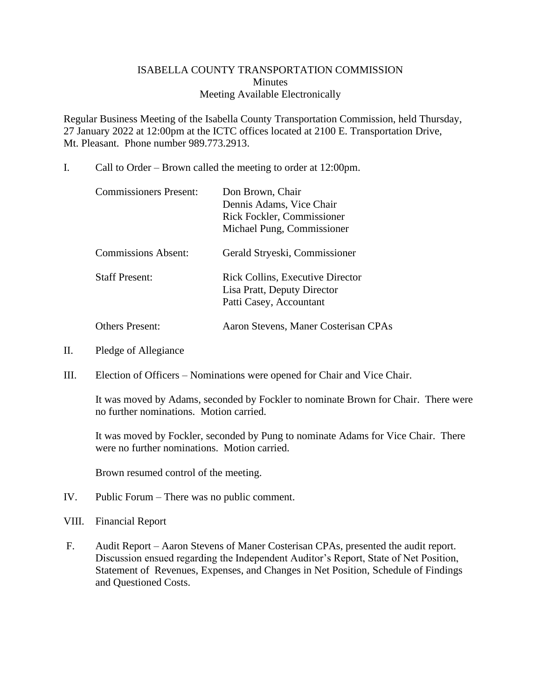## ISABELLA COUNTY TRANSPORTATION COMMISSION **Minutes** Meeting Available Electronically

Regular Business Meeting of the Isabella County Transportation Commission, held Thursday, 27 January 2022 at 12:00pm at the ICTC offices located at 2100 E. Transportation Drive, Mt. Pleasant. Phone number 989.773.2913.

I. Call to Order – Brown called the meeting to order at 12:00pm.

| <b>Commissioners Present:</b> | Don Brown, Chair<br>Dennis Adams, Vice Chair<br>Rick Fockler, Commissioner<br>Michael Pung, Commissioner |
|-------------------------------|----------------------------------------------------------------------------------------------------------|
| <b>Commissions Absent:</b>    | Gerald Stryeski, Commissioner                                                                            |
| <b>Staff Present:</b>         | <b>Rick Collins, Executive Director</b><br>Lisa Pratt, Deputy Director<br>Patti Casey, Accountant        |
| <b>Others Present:</b>        | Aaron Stevens, Maner Costerisan CPAs                                                                     |

- II. Pledge of Allegiance
- III. Election of Officers Nominations were opened for Chair and Vice Chair.

It was moved by Adams, seconded by Fockler to nominate Brown for Chair. There were no further nominations. Motion carried.

It was moved by Fockler, seconded by Pung to nominate Adams for Vice Chair. There were no further nominations. Motion carried.

Brown resumed control of the meeting.

- IV. Public Forum There was no public comment.
- VIII. Financial Report
- F. Audit Report Aaron Stevens of Maner Costerisan CPAs, presented the audit report. Discussion ensued regarding the Independent Auditor's Report, State of Net Position, Statement of Revenues, Expenses, and Changes in Net Position, Schedule of Findings and Questioned Costs.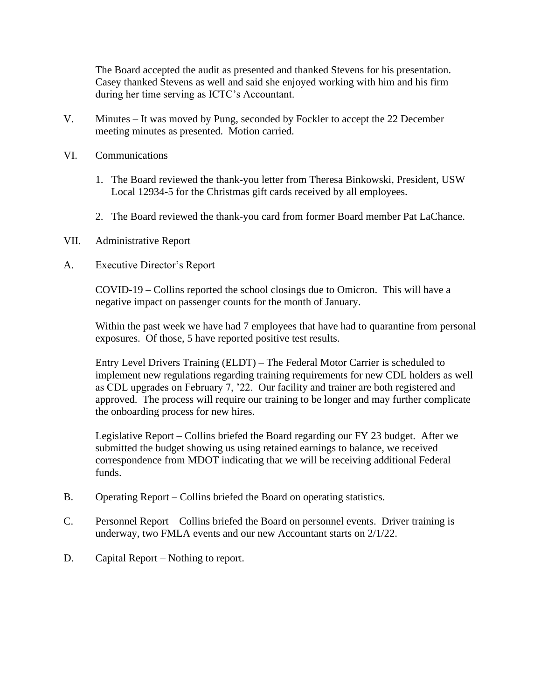The Board accepted the audit as presented and thanked Stevens for his presentation. Casey thanked Stevens as well and said she enjoyed working with him and his firm during her time serving as ICTC's Accountant.

- V. Minutes It was moved by Pung, seconded by Fockler to accept the 22 December meeting minutes as presented. Motion carried.
- VI. Communications
	- 1. The Board reviewed the thank-you letter from Theresa Binkowski, President, USW Local 12934-5 for the Christmas gift cards received by all employees.
	- 2. The Board reviewed the thank-you card from former Board member Pat LaChance.
- VII. Administrative Report
- A. Executive Director's Report

COVID-19 – Collins reported the school closings due to Omicron. This will have a negative impact on passenger counts for the month of January.

Within the past week we have had 7 employees that have had to quarantine from personal exposures. Of those, 5 have reported positive test results.

Entry Level Drivers Training (ELDT) – The Federal Motor Carrier is scheduled to implement new regulations regarding training requirements for new CDL holders as well as CDL upgrades on February 7, '22. Our facility and trainer are both registered and approved. The process will require our training to be longer and may further complicate the onboarding process for new hires.

Legislative Report – Collins briefed the Board regarding our FY 23 budget. After we submitted the budget showing us using retained earnings to balance, we received correspondence from MDOT indicating that we will be receiving additional Federal funds.

- B. Operating Report Collins briefed the Board on operating statistics.
- C. Personnel Report Collins briefed the Board on personnel events. Driver training is underway, two FMLA events and our new Accountant starts on 2/1/22.
- D. Capital Report Nothing to report.